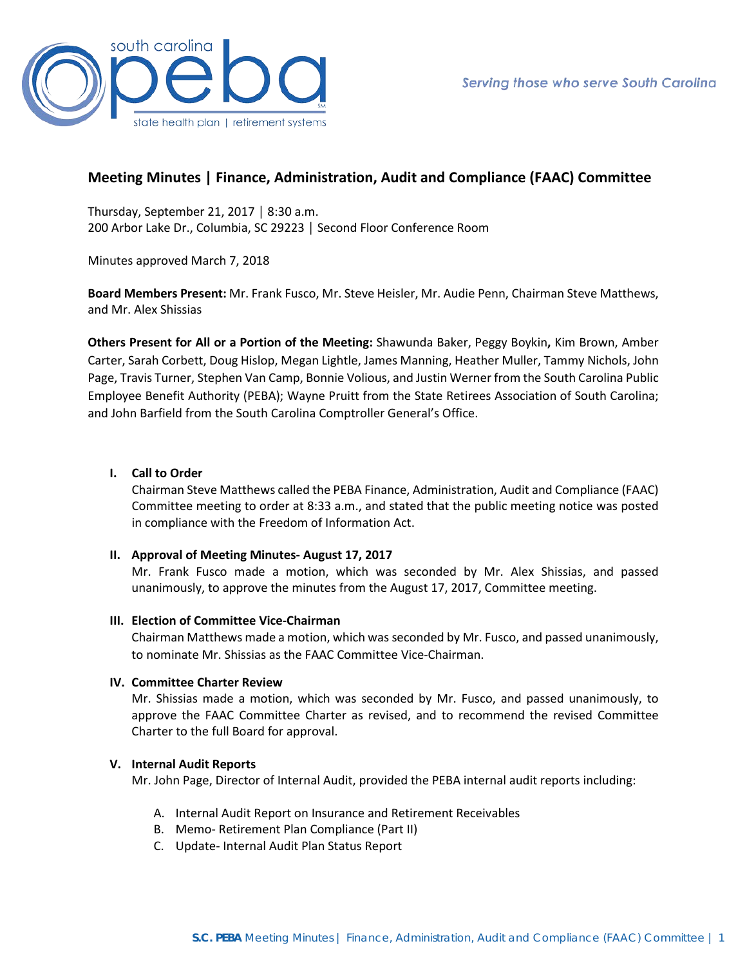

# **Meeting Minutes | Finance, Administration, Audit and Compliance (FAAC) Committee**

Thursday, September 21, 2017 │ 8:30 a.m. 200 Arbor Lake Dr., Columbia, SC 29223 │ Second Floor Conference Room

Minutes approved March 7, 2018

**Board Members Present:** Mr. Frank Fusco, Mr. Steve Heisler, Mr. Audie Penn, Chairman Steve Matthews, and Mr. Alex Shissias

**Others Present for All or a Portion of the Meeting:** Shawunda Baker, Peggy Boykin**,** Kim Brown, Amber Carter, Sarah Corbett, Doug Hislop, Megan Lightle, James Manning, Heather Muller, Tammy Nichols, John Page, Travis Turner, Stephen Van Camp, Bonnie Volious, and Justin Werner from the South Carolina Public Employee Benefit Authority (PEBA); Wayne Pruitt from the State Retirees Association of South Carolina; and John Barfield from the South Carolina Comptroller General's Office.

### **I. Call to Order**

Chairman Steve Matthews called the PEBA Finance, Administration, Audit and Compliance (FAAC) Committee meeting to order at 8:33 a.m., and stated that the public meeting notice was posted in compliance with the Freedom of Information Act.

#### **II. Approval of Meeting Minutes- August 17, 2017**

Mr. Frank Fusco made a motion, which was seconded by Mr. Alex Shissias, and passed unanimously, to approve the minutes from the August 17, 2017, Committee meeting.

#### **III. Election of Committee Vice-Chairman**

Chairman Matthews made a motion, which was seconded by Mr. Fusco, and passed unanimously, to nominate Mr. Shissias as the FAAC Committee Vice-Chairman.

#### **IV. Committee Charter Review**

Mr. Shissias made a motion, which was seconded by Mr. Fusco, and passed unanimously, to approve the FAAC Committee Charter as revised, and to recommend the revised Committee Charter to the full Board for approval.

#### **V. Internal Audit Reports**

Mr. John Page, Director of Internal Audit, provided the PEBA internal audit reports including:

- A. Internal Audit Report on Insurance and Retirement Receivables
- B. Memo- Retirement Plan Compliance (Part II)
- C. Update- Internal Audit Plan Status Report